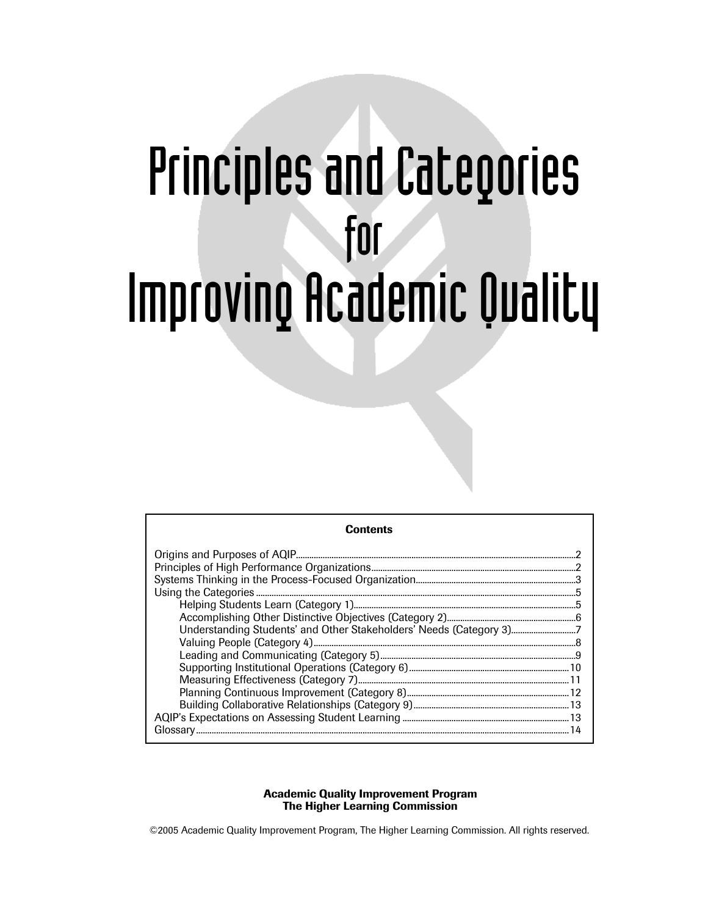# Principles and Categories for Improving Academic Quality

| Contents                                                            |  |
|---------------------------------------------------------------------|--|
|                                                                     |  |
|                                                                     |  |
|                                                                     |  |
|                                                                     |  |
|                                                                     |  |
|                                                                     |  |
| Understanding Students' and Other Stakeholders' Needs (Category 3)7 |  |
|                                                                     |  |
|                                                                     |  |
|                                                                     |  |
|                                                                     |  |
|                                                                     |  |
|                                                                     |  |
|                                                                     |  |
|                                                                     |  |

# Academic Quality Improvement Program The Higher Learning Commission

©2005 Academic Quality Improvement Program, The Higher Learning Commission. All rights reserved.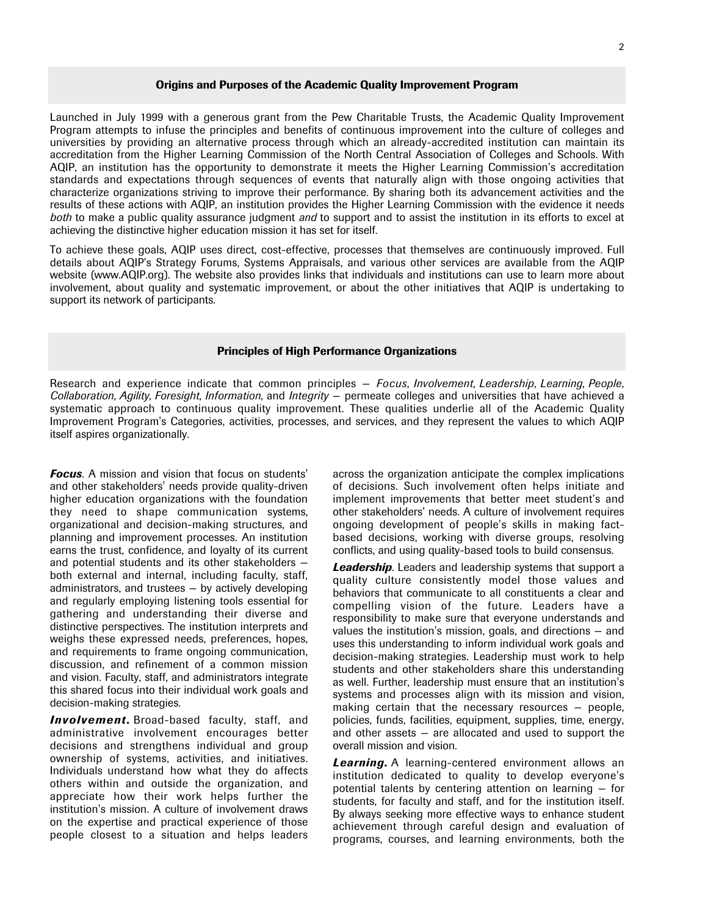# Origins and Purposes of the Academic Quality Improvement Program

Launched in July 1999 with a generous grant from the Pew Charitable Trusts, the Academic Quality Improvement Program attempts to infuse the principles and benefits of continuous improvement into the culture of colleges and universities by providing an alternative process through which an already-accredited institution can maintain its accreditation from the Higher Learning Commission of the North Central Association of Colleges and Schools. With AQIP, an institution has the opportunity to demonstrate it meets the Higher Learning Commission's accreditation standards and expectations through sequences of events that naturally align with those ongoing activities that characterize organizations striving to improve their performance. By sharing both its advancement activities and the results of these actions with AQIP, an institution provides the Higher Learning Commission with the evidence it needs *both* to make a public quality assurance judgment *and* to support and to assist the institution in its efforts to excel at achieving the distinctive higher education mission it has set for itself.

To achieve these goals, AQIP uses direct, cost-effective, processes that themselves are continuously improved. Full details about AQIP's Strategy Forums, Systems Appraisals, and various other services are available from the AQIP website (www.AQIP.org). The website also provides links that individuals and institutions can use to learn more about involvement, about quality and systematic improvement, or about the other initiatives that AQIP is undertaking to support its network of participants.

# Principles of High Performance Organizations

Research and experience indicate that common principles — *Focus*, *Involvement*, *Leadership*, *Learning*, *People*, *Collaboration*, *Agility*, *Foresight*, *Information*, and *Integrity* — permeate colleges and universities that have achieved a systematic approach to continuous quality improvement. These qualities underlie all of the Academic Quality Improvement Program's Categories, activities, processes, and services, and they represent the values to which AQIP itself aspires organizationally.

**Focus**. A mission and vision that focus on students' and other stakeholders' needs provide quality-driven higher education organizations with the foundation they need to shape communication systems, organizational and decision-making structures, and planning and improvement processes. An institution earns the trust, confidence, and loyalty of its current and potential students and its other stakeholders both external and internal, including faculty, staff, administrators, and trustees — by actively developing and regularly employing listening tools essential for gathering and understanding their diverse and distinctive perspectives. The institution interprets and weighs these expressed needs, preferences, hopes, and requirements to frame ongoing communication, discussion, and refinement of a common mission and vision. Faculty, staff, and administrators integrate this shared focus into their individual work goals and decision-making strategies.

*Involvement*. Broad-based faculty, staff, and administrative involvement encourages better decisions and strengthens individual and group ownership of systems, activities, and initiatives. Individuals understand how what they do affects others within and outside the organization, and appreciate how their work helps further the institution's mission. A culture of involvement draws on the expertise and practical experience of those people closest to a situation and helps leaders across the organization anticipate the complex implications of decisions. Such involvement often helps initiate and implement improvements that better meet student's and other stakeholders' needs. A culture of involvement requires ongoing development of people's skills in making factbased decisions, working with diverse groups, resolving conflicts, and using quality-based tools to build consensus.

*Leadership*. Leaders and leadership systems that support a quality culture consistently model those values and behaviors that communicate to all constituents a clear and compelling vision of the future. Leaders have a responsibility to make sure that everyone understands and values the institution's mission, goals, and directions — and uses this understanding to inform individual work goals and decision-making strategies. Leadership must work to help students and other stakeholders share this understanding as well. Further, leadership must ensure that an institution's systems and processes align with its mission and vision, making certain that the necessary resources — people, policies, funds, facilities, equipment, supplies, time, energy, and other assets — are allocated and used to support the overall mission and vision.

**Learning.** A learning-centered environment allows an institution dedicated to quality to develop everyone's potential talents by centering attention on learning — for students, for faculty and staff, and for the institution itself. By always seeking more effective ways to enhance student achievement through careful design and evaluation of programs, courses, and learning environments, both the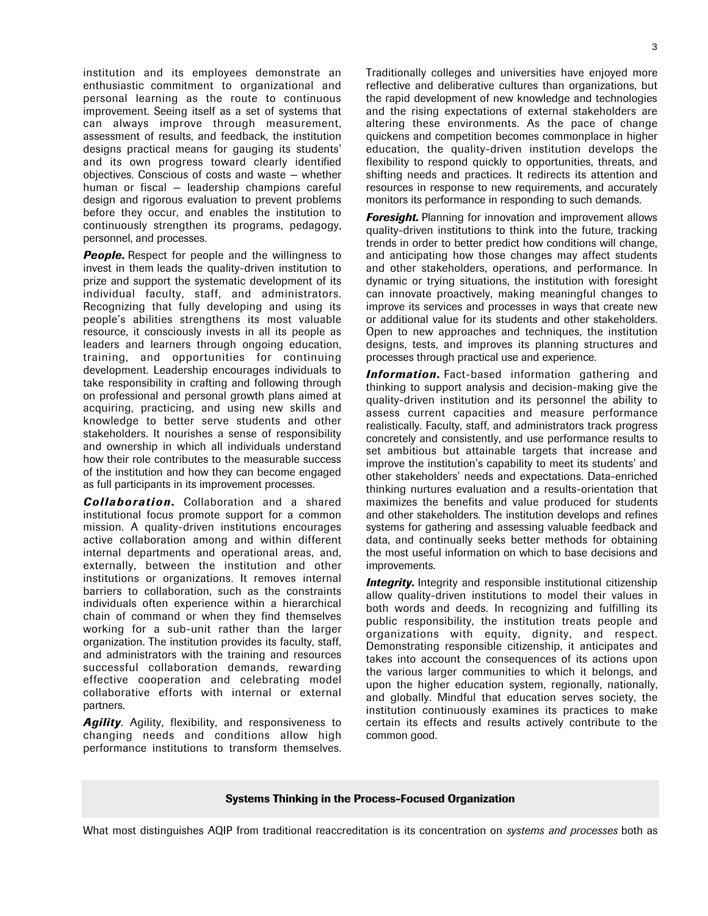institution and its employees demonstrate an enthusiastic commitment to organizational and personal learning as the route to continuous improvement. Seeing itself as a set of systems that can always improve through measurement, assessment of results, and feedback, the institution designs practical means for gauging its students' and its own progress toward clearly identified objectives. Conscious of costs and waste — whether human or fiscal — leadership champions careful design and rigorous evaluation to prevent problems before they occur, and enables the institution to continuously strengthen its programs, pedagogy, personnel, and processes.

*People*. Respect for people and the willingness to invest in them leads the quality-driven institution to prize and support the systematic development of its individual faculty, staff, and administrators. Recognizing that fully developing and using its people's abilities strengthens its most valuable resource, it consciously invests in all its people as leaders and learners through ongoing education, training, and opportunities for continuing development. Leadership encourages individuals to take responsibility in crafting and following through on professional and personal growth plans aimed at acquiring, practicing, and using new skills and knowledge to better serve students and other stakeholders. It nourishes a sense of responsibility and ownership in which all individuals understand how their role contributes to the measurable success of the institution and how they can become engaged as full participants in its improvement processes.

*Collaboration*. Collaboration and a shared institutional focus promote support for a common mission. A quality-driven institutions encourages active collaboration among and within different internal departments and operational areas, and, externally, between the institution and other institutions or organizations. It removes internal barriers to collaboration, such as the constraints individuals often experience within a hierarchical chain of command or when they find themselves working for a sub-unit rather than the larger organization. The institution provides its faculty, staff, and administrators with the training and resources successful collaboration demands, rewarding effective cooperation and celebrating model collaborative efforts with internal or external partners.

**Agility.** Agility, flexibility, and responsiveness to changing needs and conditions allow high performance institutions to transform themselves. Traditionally colleges and universities have enjoyed more reflective and deliberative cultures than organizations, but the rapid development of new knowledge and technologies and the rising expectations of external stakeholders are altering these environments. As the pace of change quickens and competition becomes commonplace in higher education, the quality-driven institution develops the flexibility to respond quickly to opportunities, threats, and shifting needs and practices. It redirects its attention and resources in response to new requirements, and accurately monitors its performance in responding to such demands.

*Foresight*. Planning for innovation and improvement allows quality-driven institutions to think into the future, tracking trends in order to better predict how conditions will change, and anticipating how those changes may affect students and other stakeholders, operations, and performance. In dynamic or trying situations, the institution with foresight can innovate proactively, making meaningful changes to improve its services and processes in ways that create new or additional value for its students and other stakeholders. Open to new approaches and techniques, the institution designs, tests, and improves its planning structures and processes through practical use and experience.

**Information.** Fact-based information gathering and thinking to support analysis and decision-making give the quality-driven institution and its personnel the ability to assess current capacities and measure performance realistically. Faculty, staff, and administrators track progress concretely and consistently, and use performance results to set ambitious but attainable targets that increase and improve the institution's capability to meet its students' and other stakeholders' needs and expectations. Data-enriched thinking nurtures evaluation and a results-orientation that maximizes the benefits and value produced for students and other stakeholders. The institution develops and refines systems for gathering and assessing valuable feedback and data, and continually seeks better methods for obtaining the most useful information on which to base decisions and improvements.

*Integrity*. Integrity and responsible institutional citizenship allow quality-driven institutions to model their values in both words and deeds. In recognizing and fulfilling its public responsibility, the institution treats people and organizations with equity, dignity, and respect. Demonstrating responsible citizenship, it anticipates and takes into account the consequences of its actions upon the various larger communities to which it belongs, and upon the higher education system, regionally, nationally, and globally. Mindful that education serves society, the institution continuously examines its practices to make certain its effects and results actively contribute to the common good.

# Systems Thinking in the Process-Focused Organization

What most distinguishes AQIP from traditional reaccreditation is its concentration on *systems and processes* both as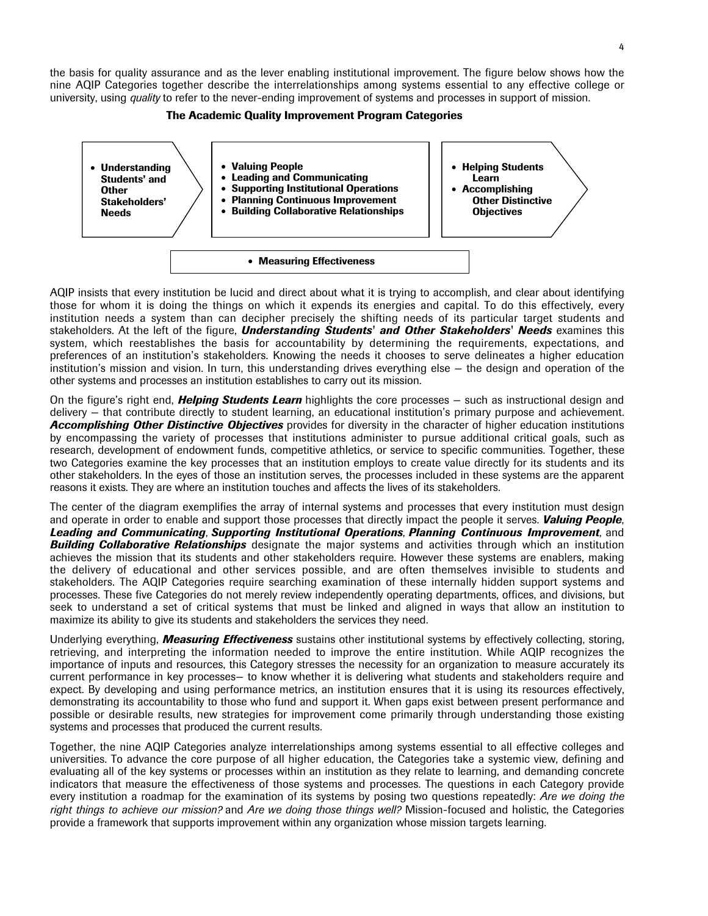the basis for quality assurance and as the lever enabling institutional improvement. The figure below shows how the nine AQIP Categories together describe the interrelationships among systems essential to any effective college or university, using *quality* to refer to the never-ending improvement of systems and processes in support of mission.





AQIP insists that every institution be lucid and direct about what it is trying to accomplish, and clear about identifying those for whom it is doing the things on which it expends its energies and capital. To do this effectively, every institution needs a system than can decipher precisely the shifting needs of its particular target students and stakeholders. At the left of the figure, *Understanding Students' and Other Stakeholders' Needs* examines this system, which reestablishes the basis for accountability by determining the requirements, expectations, and preferences of an institution's stakeholders. Knowing the needs it chooses to serve delineates a higher education institution's mission and vision. In turn, this understanding drives everything else — the design and operation of the other systems and processes an institution establishes to carry out its mission.

On the figure's right end, *Helping Students Learn* highlights the core processes — such as instructional design and delivery — that contribute directly to student learning, an educational institution's primary purpose and achievement. *Accomplishing Other Distinctive Objectives* provides for diversity in the character of higher education institutions by encompassing the variety of processes that institutions administer to pursue additional critical goals, such as research, development of endowment funds, competitive athletics, or service to specific communities. Together, these two Categories examine the key processes that an institution employs to create value directly for its students and its other stakeholders. In the eyes of those an institution serves, the processes included in these systems are the apparent reasons it exists. They are where an institution touches and affects the lives of its stakeholders.

The center of the diagram exemplifies the array of internal systems and processes that every institution must design and operate in order to enable and support those processes that directly impact the people it serves. *Valuing People*, *Leading and Communicating*, *Supporting Institutional Operations*, *Planning Continuous Improvement*, and *Building Collaborative Relationships* designate the major systems and activities through which an institution achieves the mission that its students and other stakeholders require. However these systems are enablers, making the delivery of educational and other services possible, and are often themselves invisible to students and stakeholders. The AQIP Categories require searching examination of these internally hidden support systems and processes. These five Categories do not merely review independently operating departments, offices, and divisions, but seek to understand a set of critical systems that must be linked and aligned in ways that allow an institution to maximize its ability to give its students and stakeholders the services they need.

Underlying everything, *Measuring Effectiveness* sustains other institutional systems by effectively collecting, storing, retrieving, and interpreting the information needed to improve the entire institution. While AQIP recognizes the importance of inputs and resources, this Category stresses the necessity for an organization to measure accurately its current performance in key processes— to know whether it is delivering what students and stakeholders require and expect. By developing and using performance metrics, an institution ensures that it is using its resources effectively, demonstrating its accountability to those who fund and support it. When gaps exist between present performance and possible or desirable results, new strategies for improvement come primarily through understanding those existing systems and processes that produced the current results.

Together, the nine AQIP Categories analyze interrelationships among systems essential to all effective colleges and universities. To advance the core purpose of all higher education, the Categories take a systemic view, defining and evaluating all of the key systems or processes within an institution as they relate to learning, and demanding concrete indicators that measure the effectiveness of those systems and processes. The questions in each Category provide every institution a roadmap for the examination of its systems by posing two questions repeatedly: *Are we doing the right things to achieve our mission?* and *Are we doing those things well?* Mission-focused and holistic, the Categories provide a framework that supports improvement within any organization whose mission targets learning.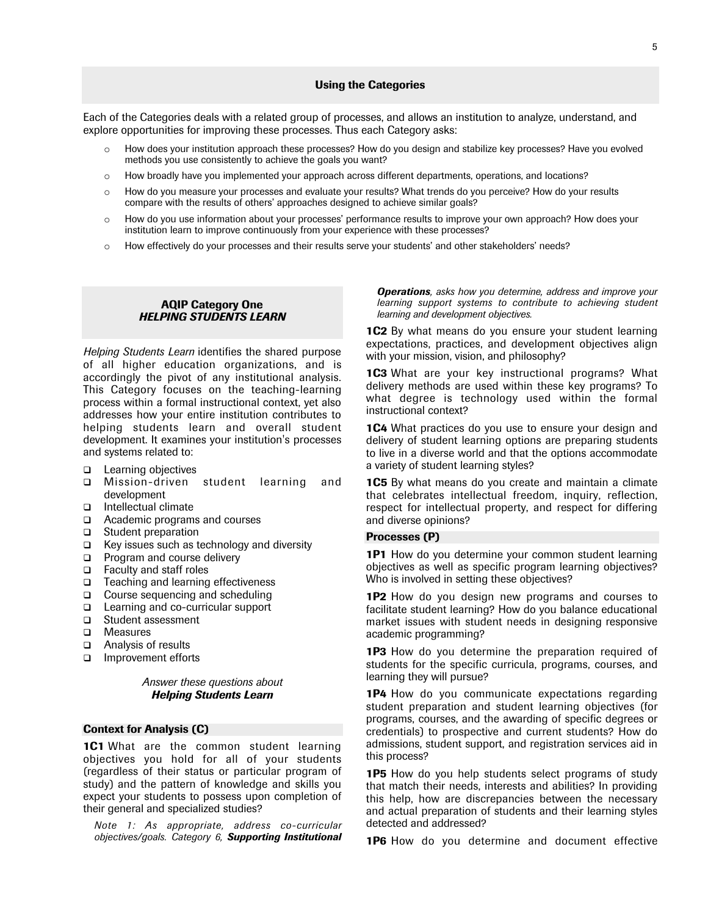# Using the Categories

Each of the Categories deals with a related group of processes, and allows an institution to analyze, understand, and explore opportunities for improving these processes. Thus each Category asks:

- $\circ$  How does your institution approach these processes? How do you design and stabilize key processes? Have you evolved methods you use consistently to achieve the goals you want?
- o How broadly have you implemented your approach across different departments, operations, and locations?
- o How do you measure your processes and evaluate your results? What trends do you perceive? How do your results compare with the results of others' approaches designed to achieve similar goals?
- o How do you use information about your processes' performance results to improve your own approach? How does your institution learn to improve continuously from your experience with these processes?
- o How effectively do your processes and their results serve your students' and other stakeholders' needs?

# AQIP Category One *HELPING STUDENTS LEARN*

*Helping Students Learn* identifies the shared purpose of all higher education organizations, and is accordingly the pivot of any institutional analysis. This Category focuses on the teaching-learning process within a formal instructional context, yet also addresses how your entire institution contributes to helping students learn and overall student development. It examines your institution's processes and systems related to:

- □ Learning objectives
- Mission-driven student learning and development
- □ Intellectual climate
- Academic programs and courses
- □ Student preparation
- $\Box$  Key issues such as technology and diversity
- □ Program and course delivery
- Faculty and staff roles
- $\Box$  Teaching and learning effectiveness
- □ Course sequencing and scheduling
- □ Learning and co-curricular support
- □ Student assessment
- □ Measures
- Analysis of results
- □ Improvement efforts

# *Answer these questions about Helping Students Learn*

# Context for Analysis (C)

**1C1** What are the common student learning objectives you hold for all of your students (regardless of their status or particular program of study) and the pattern of knowledge and skills you expect your students to possess upon completion of their general and specialized studies?

*Note 1: As appropriate, address co-curricular objectives/goals. Category 6, Supporting Institutional*

*Operations, asks how you determine, address and improve your learning support systems to contribute to achieving student learning and development objectives.*

**1C2** By what means do you ensure your student learning expectations, practices, and development objectives align with your mission, vision, and philosophy?

**1C3** What are your key instructional programs? What delivery methods are used within these key programs? To what degree is technology used within the formal instructional context?

**1C4** What practices do you use to ensure your design and delivery of student learning options are preparing students to live in a diverse world and that the options accommodate a variety of student learning styles?

**1C5** By what means do you create and maintain a climate that celebrates intellectual freedom, inquiry, reflection, respect for intellectual property, and respect for differing and diverse opinions?

# Processes (P)

**1P1** How do you determine your common student learning objectives as well as specific program learning objectives? Who is involved in setting these objectives?

1P2 How do you design new programs and courses to facilitate student learning? How do you balance educational market issues with student needs in designing responsive academic programming?

**1P3** How do you determine the preparation required of students for the specific curricula, programs, courses, and learning they will pursue?

1P4 How do you communicate expectations regarding student preparation and student learning objectives (for programs, courses, and the awarding of specific degrees or credentials) to prospective and current students? How do admissions, student support, and registration services aid in this process?

1P5 How do you help students select programs of study that match their needs, interests and abilities? In providing this help, how are discrepancies between the necessary and actual preparation of students and their learning styles detected and addressed?

**1P6** How do you determine and document effective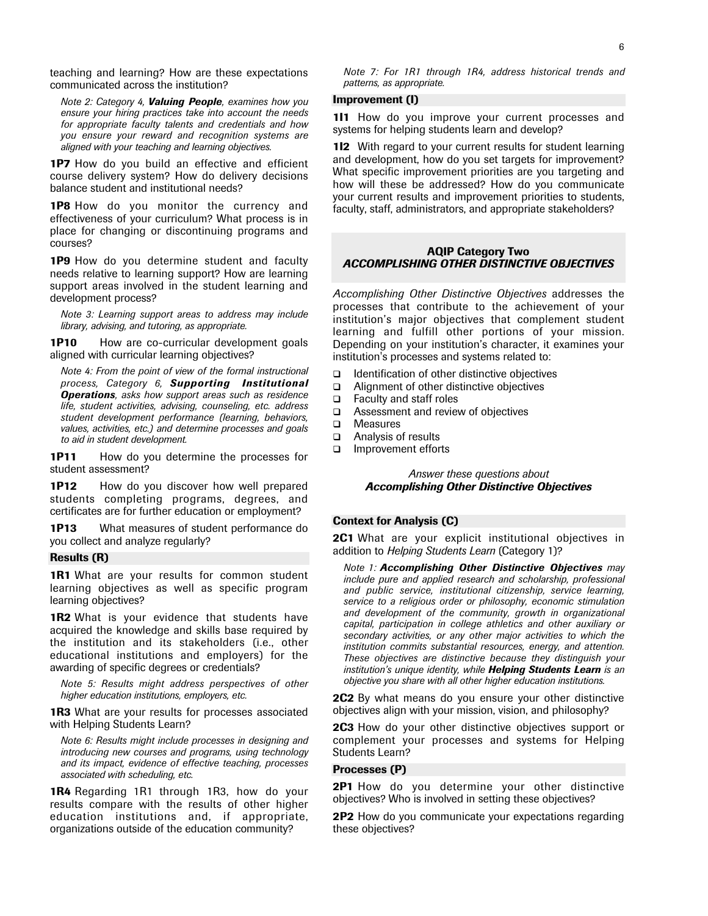teaching and learning? How are these expectations communicated across the institution?

*Note 2: Category 4, Valuing People, examines how you ensure your hiring practices take into account the needs for appropriate faculty talents and credentials and how you ensure your reward and recognition systems are aligned with your teaching and learning objectives.*

1P7 How do you build an effective and efficient course delivery system? How do delivery decisions balance student and institutional needs?

**1P8** How do you monitor the currency and effectiveness of your curriculum? What process is in place for changing or discontinuing programs and courses?

1P9 How do you determine student and faculty needs relative to learning support? How are learning support areas involved in the student learning and development process?

*Note 3: Learning support areas to address may include library, advising, and tutoring, as appropriate.*

1P10 How are co-curricular development goals aligned with curricular learning objectives?

*Note 4: From the point of view of the formal instructional process, Category 6, Supporting Institutional Operations, asks how support areas such as residence life, student activities, advising, counseling, etc. address student development performance (learning, behaviors, values, activities, etc.) and determine processes and goals to aid in student development.*

**1P11** How do you determine the processes for student assessment?

**1P12** How do you discover how well prepared students completing programs, degrees, and certificates are for further education or employment?

**1P13** What measures of student performance do you collect and analyze regularly?

# Results (R)

**1R1** What are your results for common student learning objectives as well as specific program learning objectives?

**1R2** What is your evidence that students have acquired the knowledge and skills base required by the institution and its stakeholders (i.e., other educational institutions and employers) for the awarding of specific degrees or credentials?

*Note 5: Results might address perspectives of other higher education institutions, employers, etc.*

**1R3** What are your results for processes associated with Helping Students Learn?

*Note 6: Results might include processes in designing and introducing new courses and programs, using technology and its impact, evidence of effective teaching, processes associated with scheduling, etc.*

**1R4** Regarding 1R1 through 1R3, how do your results compare with the results of other higher education institutions and, if appropriate, organizations outside of the education community?

*Note 7: For 1R1 through 1R4, address historical trends and patterns, as appropriate.*

# Improvement (I)

111 How do you improve your current processes and systems for helping students learn and develop?

112 With regard to your current results for student learning and development, how do you set targets for improvement? What specific improvement priorities are you targeting and how will these be addressed? How do you communicate your current results and improvement priorities to students, faculty, staff, administrators, and appropriate stakeholders?

# AQIP Category Two *ACCOMPLISHING OTHER DISTINCTIVE OBJECTIVES*

*Accomplishing Other Distinctive Objectives* addresses the processes that contribute to the achievement of your institution's major objectives that complement student learning and fulfill other portions of your mission. Depending on your institution's character, it examines your institution's processes and systems related to:

- $\Box$  Identification of other distinctive objectives
- Alignment of other distinctive objectives
- Faculty and staff roles
- Assessment and review of objectives
- □ Measures
- Analysis of results
- Improvement efforts

# *Answer these questions about Accomplishing Other Distinctive Objectives*

# Context for Analysis (C)

**2C1** What are your explicit institutional objectives in addition to *Helping Students Learn* (Category 1)?

*Note 1: Accomplishing Other Distinctive Objectives may include pure and applied research and scholarship, professional and public service, institutional citizenship, service learning, service to a religious order or philosophy, economic stimulation and development of the community, growth in organizational capital, participation in college athletics and other auxiliary or secondary activities, or any other major activities to which the institution commits substantial resources, energy, and attention. These objectives are distinctive because they distinguish your institution's unique identity, while Helping Students Learn is an objective you share with all other higher education institutions.*

**2C2** By what means do you ensure your other distinctive objectives align with your mission, vision, and philosophy?

**2C3** How do your other distinctive objectives support or complement your processes and systems for Helping Students Learn?

#### Processes (P)

**2P1** How do you determine your other distinctive objectives? Who is involved in setting these objectives?

**2P2** How do you communicate your expectations regarding these objectives?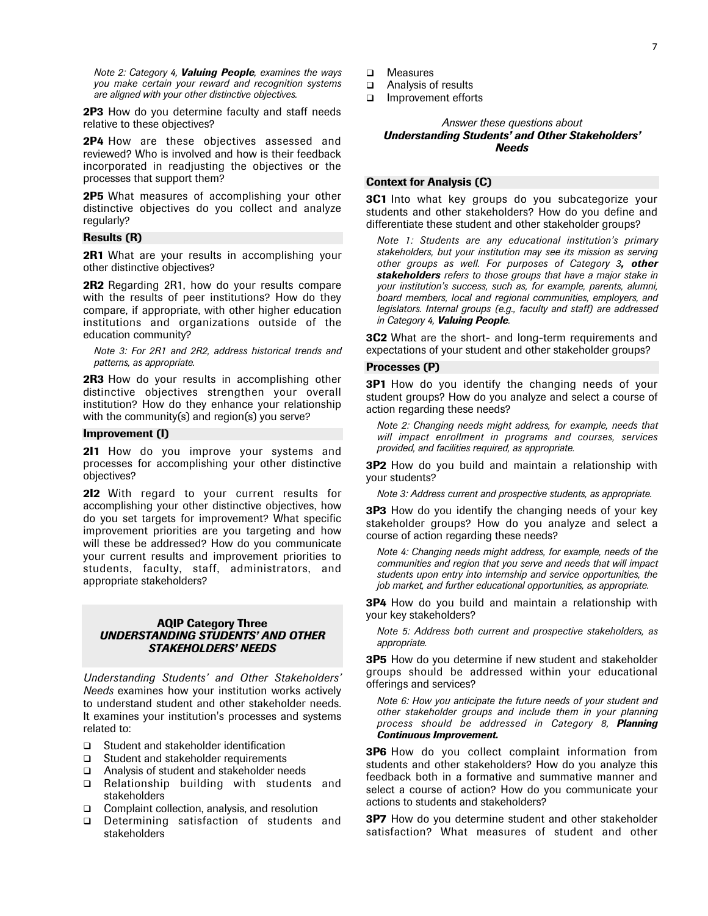*Note 2: Category 4, Valuing People, examines the ways you make certain your reward and recognition systems are aligned with your other distinctive objectives.*

**2P3** How do you determine faculty and staff needs relative to these objectives?

2P4 How are these objectives assessed and reviewed? Who is involved and how is their feedback incorporated in readjusting the objectives or the processes that support them?

2P5 What measures of accomplishing your other distinctive objectives do you collect and analyze regularly?

# Results (R)

**2R1** What are your results in accomplishing your other distinctive objectives?

2R2 Regarding 2R1, how do your results compare with the results of peer institutions? How do they compare, if appropriate, with other higher education institutions and organizations outside of the education community?

*Note 3: For 2R1 and 2R2, address historical trends and patterns, as appropriate.*

2R3 How do your results in accomplishing other distinctive objectives strengthen your overall institution? How do they enhance your relationship with the community(s) and region(s) you serve?

# Improvement (I)

211 How do you improve your systems and processes for accomplishing your other distinctive objectives?

212 With regard to your current results for accomplishing your other distinctive objectives, how do you set targets for improvement? What specific improvement priorities are you targeting and how will these be addressed? How do you communicate your current results and improvement priorities to students, faculty, staff, administrators, and appropriate stakeholders?

# AQIP Category Three *UNDERSTANDING STUDENTS' AND OTHER STAKEHOLDERS' NEEDS*

*Understanding Students' and Other Stakeholders' Needs* examines how your institution works actively to understand student and other stakeholder needs. It examines your institution's processes and systems related to:

- □ Student and stakeholder identification
- □ Student and stakeholder requirements
- Analysis of student and stakeholder needs
- □ Relationship building with students and stakeholders
- □ Complaint collection, analysis, and resolution
- Determining satisfaction of students and stakeholders
- □ Measures
- Analysis of results
- Improvement efforts

# *Answer these questions about Understanding Students' and Other Stakeholders' Needs*

# Context for Analysis (C)

**3C1** Into what key groups do you subcategorize your students and other stakeholders? How do you define and differentiate these student and other stakeholder groups?

*Note 1: Students are any educational institution's primary stakeholders, but your institution may see its mission as serving other groups as well. For purposes of Category 3, other stakeholders refers to those groups that have a major stake in your institution's success, such as, for example, parents, alumni, board members, local and regional communities, employers, and legislators. Internal groups (e.g., faculty and staff) are addressed in Category 4, Valuing People.*

**3C2** What are the short- and long-term requirements and expectations of your student and other stakeholder groups?

#### Processes (P)

**3P1** How do you identify the changing needs of your student groups? How do you analyze and select a course of action regarding these needs?

*Note 2: Changing needs might address, for example, needs that will impact enrollment in programs and courses, services provided, and facilities required, as appropriate.*

**3P2** How do you build and maintain a relationship with your students?

*Note 3: Address current and prospective students, as appropriate.*

**3P3** How do you identify the changing needs of your key stakeholder groups? How do you analyze and select a course of action regarding these needs?

*Note 4: Changing needs might address, for example, needs of the communities and region that you serve and needs that will impact students upon entry into internship and service opportunities, the job market, and further educational opportunities, as appropriate.*

**3P4** How do you build and maintain a relationship with your key stakeholders?

*Note 5: Address both current and prospective stakeholders, as appropriate.*

**3P5** How do you determine if new student and stakeholder groups should be addressed within your educational offerings and services?

*Note 6: How you anticipate the future needs of your student and other stakeholder groups and include them in your planning process should be addressed in Category 8, Planning Continuous Improvement.*

**3P6** How do you collect complaint information from students and other stakeholders? How do you analyze this feedback both in a formative and summative manner and select a course of action? How do you communicate your actions to students and stakeholders?

**3P7** How do you determine student and other stakeholder satisfaction? What measures of student and other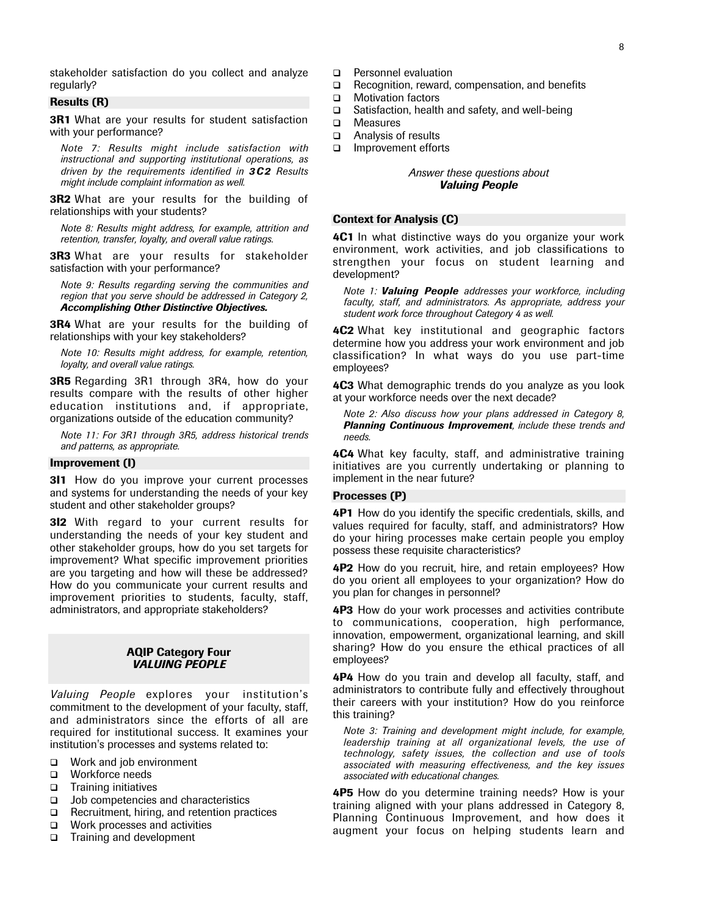stakeholder satisfaction do you collect and analyze regularly?

# Results (R)

**3R1** What are your results for student satisfaction with your performance?

*Note 7: Results might include satisfaction with instructional and supporting institutional operations, as driven by the requirements identified in 3C2 Results might include complaint information as well.*

**3R2** What are your results for the building of relationships with your students?

*Note 8: Results might address, for example, attrition and retention, transfer, loyalty, and overall value ratings.*

**3R3** What are your results for stakeholder satisfaction with your performance?

*Note 9: Results regarding serving the communities and region that you serve should be addressed in Category 2, Accomplishing Other Distinctive Objectives.*

**3R4** What are your results for the building of relationships with your key stakeholders?

*Note 10: Results might address, for example, retention, loyalty, and overall value ratings.*

**3R5** Regarding 3R1 through 3R4, how do your results compare with the results of other higher education institutions and, if appropriate, organizations outside of the education community?

*Note 11: For 3R1 through 3R5, address historical trends and patterns, as appropriate.*

# Improvement (I)

**3I1** How do you improve your current processes and systems for understanding the needs of your key student and other stakeholder groups?

**3I2** With regard to your current results for understanding the needs of your key student and other stakeholder groups, how do you set targets for improvement? What specific improvement priorities are you targeting and how will these be addressed? How do you communicate your current results and improvement priorities to students, faculty, staff, administrators, and appropriate stakeholders?

# AQIP Category Four *VALUING PEOPLE*

*Valuing People* explores your institution's commitment to the development of your faculty, staff, and administrators since the efforts of all are required for institutional success. It examines your institution's processes and systems related to:

- Work and job environment
- Workforce needs
- $\Box$  Training initiatives
- $\Box$  Job competencies and characteristics
- Recruitment, hiring, and retention practices
- Work processes and activities
- □ Training and development
- □ Personnel evaluation
- $\Box$  Recognition, reward, compensation, and benefits
- **D** Motivation factors
- $\Box$  Satisfaction, health and safety, and well-being
- □ Measures
- Analysis of results
- Improvement efforts

# *Answer these questions about Valuing People*

# Context for Analysis (C)

4C1 In what distinctive ways do you organize your work environment, work activities, and job classifications to strengthen your focus on student learning and development?

*Note 1: Valuing People addresses your workforce, including faculty, staff, and administrators. As appropriate, address your student work force throughout Category 4 as well.*

**4C2** What key institutional and geographic factors determine how you address your work environment and job classification? In what ways do you use part-time employees?

**4C3** What demographic trends do you analyze as you look at your workforce needs over the next decade?

*Note 2: Also discuss how your plans addressed in Category 8, Planning Continuous Improvement, include these trends and needs.*

**4C4** What key faculty, staff, and administrative training initiatives are you currently undertaking or planning to implement in the near future?

# Processes (P)

4P1 How do you identify the specific credentials, skills, and values required for faculty, staff, and administrators? How do your hiring processes make certain people you employ possess these requisite characteristics?

**4P2** How do you recruit, hire, and retain employees? How do you orient all employees to your organization? How do you plan for changes in personnel?

4P3 How do your work processes and activities contribute to communications, cooperation, high performance, innovation, empowerment, organizational learning, and skill sharing? How do you ensure the ethical practices of all employees?

4P4 How do you train and develop all faculty, staff, and administrators to contribute fully and effectively throughout their careers with your institution? How do you reinforce this training?

*Note 3: Training and development might include, for example, leadership training at all organizational levels, the use of technology, safety issues, the collection and use of tools associated with measuring effectiveness, and the key issues associated with educational changes.*

**4P5** How do you determine training needs? How is your training aligned with your plans addressed in Category 8, Planning Continuous Improvement, and how does it augment your focus on helping students learn and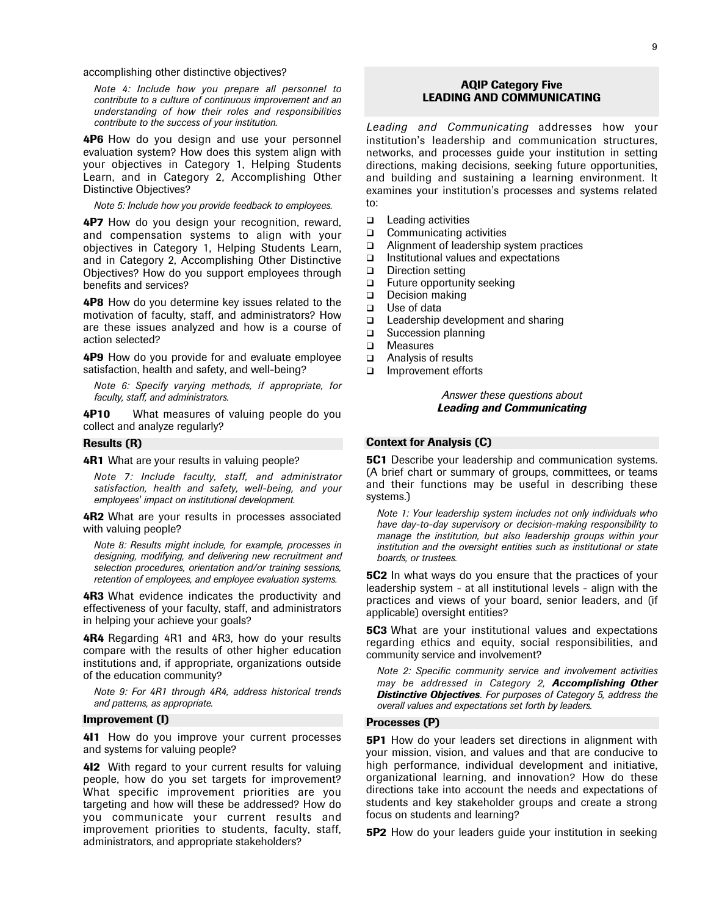accomplishing other distinctive objectives?

*Note 4: Include how you prepare all personnel to contribute to a culture of continuous improvement and an understanding of how their roles and responsibilities contribute to the success of your institution.*

4P6 How do you design and use your personnel evaluation system? How does this system align with your objectives in Category 1, Helping Students Learn, and in Category 2, Accomplishing Other Distinctive Objectives?

*Note 5: Include how you provide feedback to employees.*

**4P7** How do you design your recognition, reward, and compensation systems to align with your objectives in Category 1, Helping Students Learn, and in Category 2, Accomplishing Other Distinctive Objectives? How do you support employees through benefits and services?

**4P8** How do you determine key issues related to the motivation of faculty, staff, and administrators? How are these issues analyzed and how is a course of action selected?

**4P9** How do you provide for and evaluate employee satisfaction, health and safety, and well-being?

*Note 6: Specify varying methods, if appropriate, for faculty, staff, and administrators.*

**4P10** What measures of valuing people do you collect and analyze regularly?

# Results (R)

**4R1** What are your results in valuing people?

*Note 7: Include faculty, staff, and administrator satisfaction, health and safety, well-being, and your employees' impact on institutional development.*

**4R2** What are your results in processes associated with valuing people?

*Note 8: Results might include, for example, processes in designing, modifying, and delivering new recruitment and selection procedures, orientation and/or training sessions, retention of employees, and employee evaluation systems.*

**4R3** What evidence indicates the productivity and effectiveness of your faculty, staff, and administrators in helping your achieve your goals?

4R4 Regarding 4R1 and 4R3, how do your results compare with the results of other higher education institutions and, if appropriate, organizations outside of the education community?

*Note 9: For 4R1 through 4R4, address historical trends and patterns, as appropriate.*

#### Improvement (I)

411 How do you improve your current processes and systems for valuing people?

412 With regard to your current results for valuing people, how do you set targets for improvement? What specific improvement priorities are you targeting and how will these be addressed? How do you communicate your current results and improvement priorities to students, faculty, staff, administrators, and appropriate stakeholders?

# AQIP Category Five LEADING AND COMMUNICATING

*Leading and Communicating* addresses how your institution's leadership and communication structures, networks, and processes guide your institution in setting directions, making decisions, seeking future opportunities, and building and sustaining a learning environment. It examines your institution's processes and systems related to:

- $\Box$  Leading activities
- □ Communicating activities
- Alignment of leadership system practices
- $\Box$  Institutional values and expectations
- $\Box$  Direction setting
- $\Box$  Future opportunity seeking
- $\Box$  Decision making
- □ Use of data
- $\Box$  Leadership development and sharing
- □ Succession planning
- □ Measures
- Analysis of results
- Improvement efforts

*Answer these questions about Leading and Communicating*

# Context for Analysis (C)

**5C1** Describe your leadership and communication systems. (A brief chart or summary of groups, committees, or teams and their functions may be useful in describing these systems.)

*Note 1: Your leadership system includes not only individuals who have day-to-day supervisory or decision-making responsibility to manage the institution, but also leadership groups within your institution and the oversight entities such as institutional or state boards, or trustees.*

**5C2** In what ways do you ensure that the practices of your leadership system - at all institutional levels - align with the practices and views of your board, senior leaders, and (if applicable) oversight entities?

**5C3** What are your institutional values and expectations regarding ethics and equity, social responsibilities, and community service and involvement?

*Note 2: Specific community service and involvement activities may be addressed in Category 2, Accomplishing Other Distinctive Objectives. For purposes of Category 5, address the overall values and expectations set forth by leaders.*

# Processes (P)

**5P1** How do your leaders set directions in alignment with your mission, vision, and values and that are conducive to high performance, individual development and initiative, organizational learning, and innovation? How do these directions take into account the needs and expectations of students and key stakeholder groups and create a strong focus on students and learning?

**5P2** How do your leaders guide your institution in seeking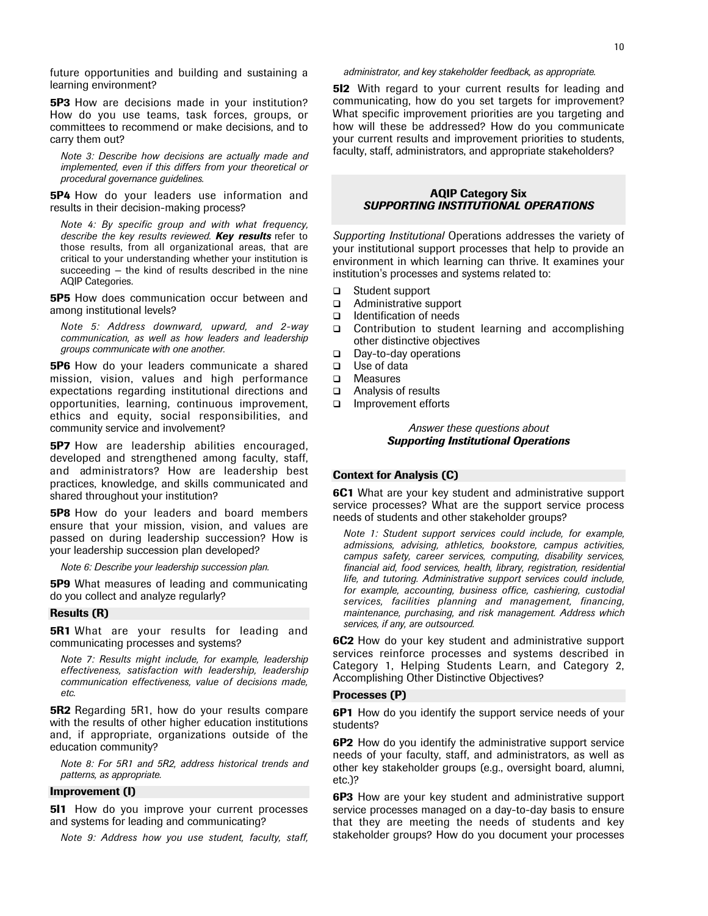future opportunities and building and sustaining a learning environment?

**5P3** How are decisions made in your institution? How do you use teams, task forces, groups, or committees to recommend or make decisions, and to carry them out?

*Note 3: Describe how decisions are actually made and implemented, even if this differs from your theoretical or procedural governance guidelines.*

**5P4** How do your leaders use information and results in their decision-making process?

*Note 4: By specific group and with what frequency, describe the key results reviewed. Key results* refer to those results, from all organizational areas, that are critical to your understanding whether your institution is succeeding — the kind of results described in the nine AQIP Categories.

**5P5** How does communication occur between and among institutional levels?

*Note 5: Address downward, upward, and 2-way communication, as well as how leaders and leadership groups communicate with one another.*

**5P6** How do your leaders communicate a shared mission, vision, values and high performance expectations regarding institutional directions and opportunities, learning, continuous improvement, ethics and equity, social responsibilities, and community service and involvement?

**5P7** How are leadership abilities encouraged, developed and strengthened among faculty, staff, and administrators? How are leadership best practices, knowledge, and skills communicated and shared throughout your institution?

**5P8** How do your leaders and board members ensure that your mission, vision, and values are passed on during leadership succession? How is your leadership succession plan developed?

*Note 6: Describe your leadership succession plan.*

**5P9** What measures of leading and communicating do you collect and analyze regularly?

#### Results (R)

**5R1** What are your results for leading and communicating processes and systems?

*Note 7: Results might include, for example, leadership effectiveness, satisfaction with leadership, leadership communication effectiveness, value of decisions made, etc.*

**5R2** Regarding 5R1, how do your results compare with the results of other higher education institutions and, if appropriate, organizations outside of the education community?

*Note 8: For 5R1 and 5R2, address historical trends and patterns, as appropriate.*

#### Improvement (I)

**5I1** How do you improve your current processes and systems for leading and communicating?

*Note 9: Address how you use student, faculty, staff,*

**5I2** With regard to your current results for leading and communicating, how do you set targets for improvement? What specific improvement priorities are you targeting and how will these be addressed? How do you communicate your current results and improvement priorities to students, faculty, staff, administrators, and appropriate stakeholders?

# AQIP Category Six *SUPPORTING INSTITUTIONAL OPERATIONS*

*Supporting Institutional* Operations addresses the variety of your institutional support processes that help to provide an environment in which learning can thrive. It examines your institution's processes and systems related to:

- □ Student support
- Administrative support
- $\Box$  Identification of needs
- □ Contribution to student learning and accomplishing other distinctive objectives
- □ Day-to-day operations
- □ Use of data
- □ Measures
- Analysis of results
- Improvement efforts

# *Answer these questions about Supporting Institutional Operations*

# Context for Analysis (C)

**6C1** What are your key student and administrative support service processes? What are the support service process needs of students and other stakeholder groups?

*Note 1: Student support services could include, for example, admissions, advising, athletics, bookstore, campus activities, campus safety, career services, computing, disability services, financial aid, food services, health, library, registration, residential life, and tutoring. Administrative support services could include, for example, accounting, business office, cashiering, custodial services, facilities planning and management, financing, maintenance, purchasing, and risk management. Address which services, if any, are outsourced.*

6C2 How do your key student and administrative support services reinforce processes and systems described in Category 1, Helping Students Learn, and Category 2, Accomplishing Other Distinctive Objectives?

#### Processes (P)

**6P1** How do you identify the support service needs of your students?

6P2 How do you identify the administrative support service needs of your faculty, staff, and administrators, as well as other key stakeholder groups (e.g., oversight board, alumni, etc.)?

**6P3** How are your key student and administrative support service processes managed on a day-to-day basis to ensure that they are meeting the needs of students and key stakeholder groups? How do you document your processes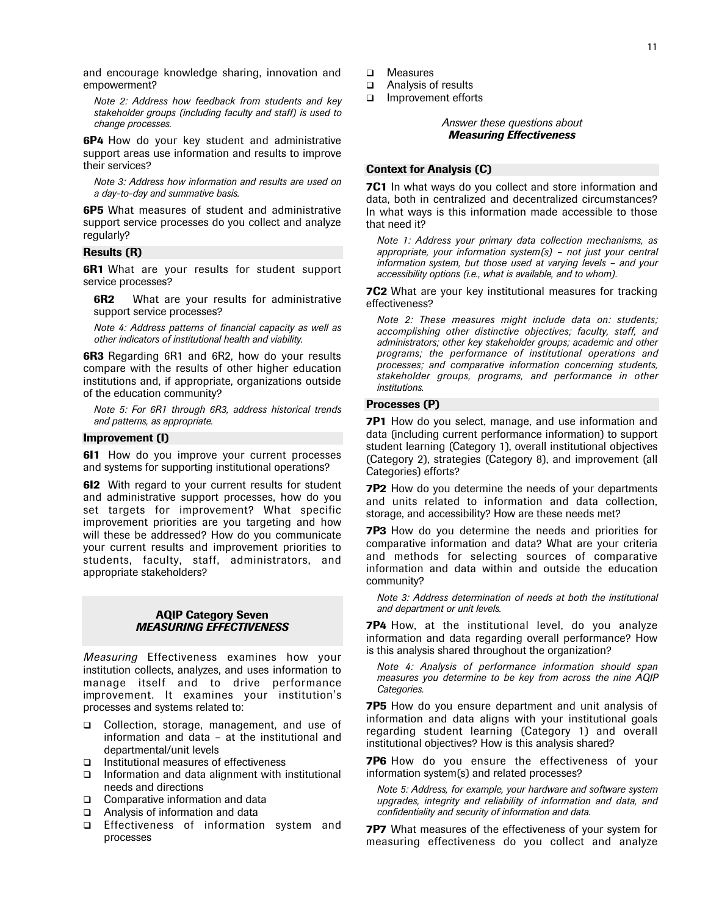and encourage knowledge sharing, innovation and empowerment?

*Note 2: Address how feedback from students and key stakeholder groups (including faculty and staff) is used to change processes.*

**6P4** How do your key student and administrative support areas use information and results to improve their services?

*Note 3: Address how information and results are used on a day-to-day and summative basis.*

6P5 What measures of student and administrative support service processes do you collect and analyze regularly?

# Results (R)

**6R1** What are your results for student support service processes?

**6R2** What are your results for administrative support service processes?

*Note 4: Address patterns of financial capacity as well as other indicators of institutional health and viability.*

**6R3** Regarding 6R1 and 6R2, how do your results compare with the results of other higher education institutions and, if appropriate, organizations outside of the education community?

*Note 5: For 6R1 through 6R3, address historical trends and patterns, as appropriate.*

# Improvement (I)

**611** How do you improve your current processes and systems for supporting institutional operations?

**612** With regard to your current results for student and administrative support processes, how do you set targets for improvement? What specific improvement priorities are you targeting and how will these be addressed? How do you communicate your current results and improvement priorities to students, faculty, staff, administrators, and appropriate stakeholders?

# AQIP Category Seven *MEASURING EFFECTIVENESS*

*Measuring* Effectiveness examines how your institution collects, analyzes, and uses information to manage itself and to drive performance improvement. It examines your institution's processes and systems related to:

- □ Collection, storage, management, and use of information and data – at the institutional and departmental/unit levels
- $\Box$  Institutional measures of effectiveness
- $\Box$  Information and data alignment with institutional needs and directions
- Comparative information and data
- Analysis of information and data
- Effectiveness of information system and processes
- □ Measures
- Analysis of results
- Improvement efforts

# *Answer these questions about Measuring Effectiveness*

# Context for Analysis (C)

**7C1** In what ways do you collect and store information and data, both in centralized and decentralized circumstances? In what ways is this information made accessible to those that need it?

*Note 1: Address your primary data collection mechanisms, as appropriate, your information system(s) – not just your central information system, but those used at varying levels – and your accessibility options (i.e., what is available, and to whom).*

**7C2** What are your key institutional measures for tracking effectiveness?

*Note 2: These measures might include data on: students; accomplishing other distinctive objectives; faculty, staff, and administrators; other key stakeholder groups; academic and other programs; the performance of institutional operations and processes; and comparative information concerning students, stakeholder groups, programs, and performance in other institutions.*

# Processes (P)

**7P1** How do you select, manage, and use information and data (including current performance information) to support student learning (Category 1), overall institutional objectives (Category 2), strategies (Category 8), and improvement (all Categories) efforts?

**7P2** How do you determine the needs of your departments and units related to information and data collection, storage, and accessibility? How are these needs met?

**7P3** How do you determine the needs and priorities for comparative information and data? What are your criteria and methods for selecting sources of comparative information and data within and outside the education community?

*Note 3: Address determination of needs at both the institutional and department or unit levels.*

**7P4** How, at the institutional level, do you analyze information and data regarding overall performance? How is this analysis shared throughout the organization?

*Note 4: Analysis of performance information should span measures you determine to be key from across the nine AQIP Categories.*

**7P5** How do you ensure department and unit analysis of information and data aligns with your institutional goals regarding student learning (Category 1) and overall institutional objectives? How is this analysis shared?

**7P6** How do you ensure the effectiveness of your information system(s) and related processes?

*Note 5: Address, for example, your hardware and software system upgrades, integrity and reliability of information and data, and confidentiality and security of information and data.*

**7P7** What measures of the effectiveness of your system for measuring effectiveness do you collect and analyze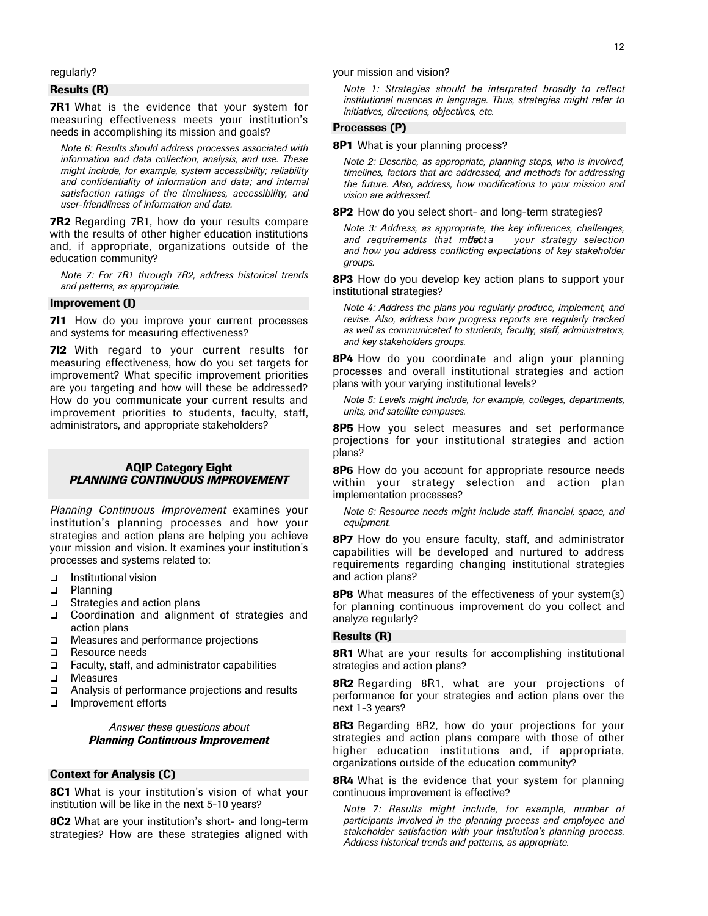regularly?

# Results (R)

**7R1** What is the evidence that your system for measuring effectiveness meets your institution's needs in accomplishing its mission and goals?

*Note 6: Results should address processes associated with information and data collection, analysis, and use. These might include, for example, system accessibility; reliability and confidentiality of information and data; and internal satisfaction ratings of the timeliness, accessibility, and user-friendliness of information and data.*

**7R2** Regarding 7R1, how do your results compare with the results of other higher education institutions and, if appropriate, organizations outside of the education community?

*Note 7: For 7R1 through 7R2, address historical trends and patterns, as appropriate.*

# Improvement (I)

**711** How do you improve your current processes and systems for measuring effectiveness?

**7l2** With regard to your current results for measuring effectiveness, how do you set targets for improvement? What specific improvement priorities are you targeting and how will these be addressed? How do you communicate your current results and improvement priorities to students, faculty, staff, administrators, and appropriate stakeholders?

# AQIP Category Eight *PLANNING CONTINUOUS IMPROVEMENT*

*Planning Continuous Improvement* examines your institution's planning processes and how your strategies and action plans are helping you achieve your mission and vision. It examines your institution's processes and systems related to:

- **□** Institutional vision<br>□ Planning
- Planning
- □ Strategies and action plans
- □ Coordination and alignment of strategies and action plans
- □ Measures and performance projections
- Resource needs
- $\Box$  Faculty, staff, and administrator capabilities
- □ Measures
- Analysis of performance projections and results
- Improvement efforts

# *Answer these questions about Planning Continuous Improvement*

# Context for Analysis (C)

8C1 What is your institution's vision of what your institution will be like in the next 5-10 years?

8C2 What are your institution's short- and long-term strategies? How are these strategies aligned with your mission and vision?

*Note 1: Strategies should be interpreted broadly to reflect institutional nuances in language. Thus, strategies might refer to initiatives, directions, objectives, etc.*

# Processes (P)

8P1 What is your planning process?

*Note 2: Describe, as appropriate, planning steps, who is involved, timelines, factors that are addressed, and methods for addressing the future. Also, address, how modifications to your mission and vision are addressed.*

8P2 How do you select short- and long-term strategies?

*Note 3: Address, as appropriate, the key influences, challenges, and requirements that mustated and how you address conflicting expectations of key stakeholder groups.*

8P3 How do you develop key action plans to support your institutional strategies?

*Note 4: Address the plans you regularly produce, implement, and revise. Also, address how progress reports are regularly tracked as well as communicated to students, faculty, staff, administrators, and key stakeholders groups.*

8P4 How do you coordinate and align your planning processes and overall institutional strategies and action plans with your varying institutional levels?

*Note 5: Levels might include, for example, colleges, departments, units, and satellite campuses.*

8P5 How you select measures and set performance projections for your institutional strategies and action plans?

8P6 How do you account for appropriate resource needs within your strategy selection and action plan implementation processes?

*Note 6: Resource needs might include staff, financial, space, and equipment.*

8P7 How do you ensure faculty, staff, and administrator capabilities will be developed and nurtured to address requirements regarding changing institutional strategies and action plans?

**8P8** What measures of the effectiveness of your system(s) for planning continuous improvement do you collect and analyze regularly?

#### Results (R)

8R1 What are your results for accomplishing institutional strategies and action plans?

**8R2** Regarding 8R1, what are your projections of performance for your strategies and action plans over the next 1-3 years?

8R3 Regarding 8R2, how do your projections for your strategies and action plans compare with those of other higher education institutions and, if appropriate, organizations outside of the education community?

**8R4** What is the evidence that your system for planning continuous improvement is effective?

*Note 7: Results might include, for example, number of participants involved in the planning process and employee and stakeholder satisfaction with your institution's planning process. Address historical trends and patterns, as appropriate.*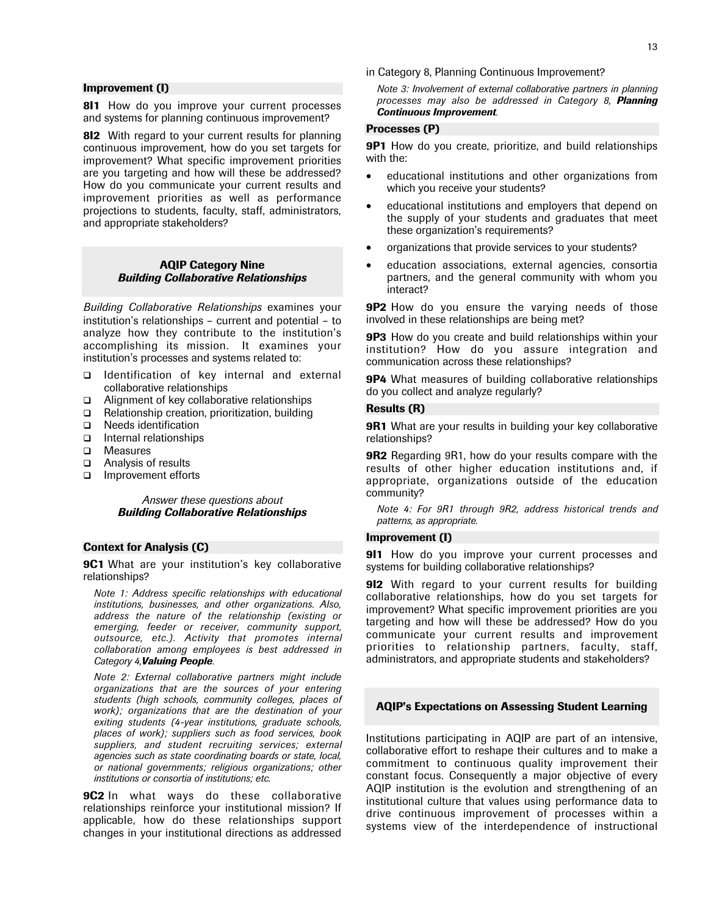# Improvement (I)

811 How do you improve your current processes and systems for planning continuous improvement?

8I2 With regard to your current results for planning continuous improvement, how do you set targets for improvement? What specific improvement priorities are you targeting and how will these be addressed? How do you communicate your current results and improvement priorities as well as performance projections to students, faculty, staff, administrators, and appropriate stakeholders?

# AQIP Category Nine *Building Collaborative Relationships*

*Building Collaborative Relationships* examines your institution's relationships – current and potential – to analyze how they contribute to the institution's accomplishing its mission. It examines your institution's processes and systems related to:

- $\Box$  Identification of key internal and external collaborative relationships
- Alignment of key collaborative relationships
- □ Relationship creation, prioritization, building
- Needs identification
- Internal relationships
- □ Measures
- Analysis of results
- □ Improvement efforts

# *Answer these questions about Building Collaborative Relationships*

# Context for Analysis (C)

**9C1** What are your institution's key collaborative relationships?

*Note 1: Address specific relationships with educational institutions, businesses, and other organizations. Also, address the nature of the relationship (existing or emerging, feeder or receiver, community support, outsource, etc.). Activity that promotes internal collaboration among employees is best addressed in Category 4,Valuing People.*

*Note 2: External collaborative partners might include organizations that are the sources of your entering students (high schools, community colleges, places of work); organizations that are the destination of your exiting students (4-year institutions, graduate schools, places of work); suppliers such as food services, book suppliers, and student recruiting services; external agencies such as state coordinating boards or state, local, or national governments; religious organizations; other institutions or consortia of institutions; etc.*

**9C2** In what ways do these collaborative relationships reinforce your institutional mission? If applicable, how do these relationships support changes in your institutional directions as addressed in Category 8, Planning Continuous Improvement?

*Note 3: Involvement of external collaborative partners in planning processes may also be addressed in Category 8, Planning Continuous Improvement.*

# Processes (P)

**9P1** How do you create, prioritize, and build relationships with the:

- educational institutions and other organizations from which you receive your students?
- educational institutions and employers that depend on the supply of your students and graduates that meet these organization's requirements?
- organizations that provide services to your students?
- education associations, external agencies, consortia partners, and the general community with whom you interact?

**9P2** How do you ensure the varying needs of those involved in these relationships are being met?

**9P3** How do you create and build relationships within your institution? How do you assure integration and communication across these relationships?

**9P4** What measures of building collaborative relationships do you collect and analyze regularly?

# Results (R)

**9R1** What are your results in building your key collaborative relationships?

**9R2** Regarding 9R1, how do your results compare with the results of other higher education institutions and, if appropriate, organizations outside of the education community?

*Note 4: For 9R1 through 9R2, address historical trends and patterns, as appropriate.*

# Improvement (I)

911 How do you improve your current processes and systems for building collaborative relationships?

912 With regard to your current results for building collaborative relationships, how do you set targets for improvement? What specific improvement priorities are you targeting and how will these be addressed? How do you communicate your current results and improvement priorities to relationship partners, faculty, staff, administrators, and appropriate students and stakeholders?

# AQIP's Expectations on Assessing Student Learning

Institutions participating in AQIP are part of an intensive, collaborative effort to reshape their cultures and to make a commitment to continuous quality improvement their constant focus. Consequently a major objective of every AQIP institution is the evolution and strengthening of an institutional culture that values using performance data to drive continuous improvement of processes within a systems view of the interdependence of instructional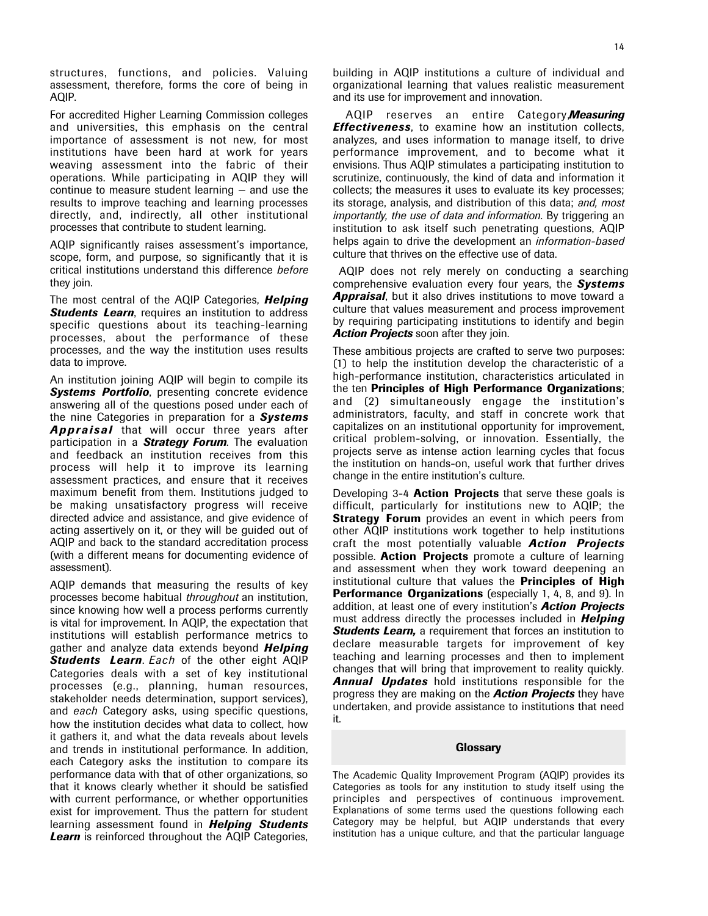structures, functions, and policies. Valuing assessment, therefore, forms the core of being in AQIP.

For accredited Higher Learning Commission colleges and universities, this emphasis on the central importance of assessment is not new, for most institutions have been hard at work for years weaving assessment into the fabric of their operations. While participating in AQIP they will continue to measure student learning — and use the results to improve teaching and learning processes directly, and, indirectly, all other institutional processes that contribute to student learning.

AQIP significantly raises assessment's importance, scope, form, and purpose, so significantly that it is critical institutions understand this difference *before* they join.

The most central of the AQIP Categories, *Helping* **Students Learn**, requires an institution to address specific questions about its teaching-learning processes, about the performance of these processes, and the way the institution uses results data to improve.

An institution joining AQIP will begin to compile its **Systems Portfolio**, presenting concrete evidence answering all of the questions posed under each of the nine Categories in preparation for a *Systems Appraisal* that will occur three years after participation in a *Strategy Forum*. The evaluation and feedback an institution receives from this process will help it to improve its learning assessment practices, and ensure that it receives maximum benefit from them. Institutions judged to be making unsatisfactory progress will receive directed advice and assistance, and give evidence of acting assertively on it, or they will be guided out of AQIP and back to the standard accreditation process (with a different means for documenting evidence of assessment).

AQIP demands that measuring the results of key processes become habitual *throughout* an institution, since knowing how well a process performs currently is vital for improvement. In AQIP, the expectation that institutions will establish performance metrics to gather and analyze data extends beyond *Helping Students Learn*. *Each* of the other eight AQIP Categories deals with a set of key institutional processes (e.g., planning, human resources, stakeholder needs determination, support services), and *each* Category asks, using specific questions, how the institution decides what data to collect, how it gathers it, and what the data reveals about levels and trends in institutional performance. In addition, each Category asks the institution to compare its performance data with that of other organizations, so that it knows clearly whether it should be satisfied with current performance, or whether opportunities exist for improvement. Thus the pattern for student learning assessment found in *Helping Students* **Learn** is reinforced throughout the AQIP Categories,

building in AQIP institutions a culture of individual and organizational learning that values realistic measurement and its use for improvement and innovation.

AQIP reserves an entire Category, *Measuring Effectiveness*, to examine how an institution collects, analyzes, and uses information to manage itself, to drive performance improvement, and to become what it envisions. Thus AQIP stimulates a participating institution to scrutinize, continuously, the kind of data and information it collects; the measures it uses to evaluate its key processes; its storage, analysis, and distribution of this data; *and, most importantly, the use of data and information*. By triggering an institution to ask itself such penetrating questions, AQIP helps again to drive the development an *information-based* culture that thrives on the effective use of data.

AQIP does not rely merely on conducting a searching comprehensive evaluation every four years, the *Systems Appraisal*, but it also drives institutions to move toward a culture that values measurement and process improvement by requiring participating institutions to identify and begin *Action Projects* soon after they join.

These ambitious projects are crafted to serve two purposes: (1) to help the institution develop the characteristic of a high-performance institution, characteristics articulated in the ten Principles of High Performance Organizations; and (2) simultaneously engage the institution's administrators, faculty, and staff in concrete work that capitalizes on an institutional opportunity for improvement, critical problem-solving, or innovation. Essentially, the projects serve as intense action learning cycles that focus the institution on hands-on, useful work that further drives change in the entire institution's culture.

Developing 3-4 **Action Projects** that serve these goals is difficult, particularly for institutions new to AQIP; the **Strategy Forum** provides an event in which peers from other AQIP institutions work together to help institutions craft the most potentially valuable *Action Projects* possible. **Action Projects** promote a culture of learning and assessment when they work toward deepening an institutional culture that values the Principles of High Performance Organizations (especially 1, 4, 8, and 9). In addition, at least one of every institution's *Action Projects* must address directly the processes included in *Helping Students Learn,* a requirement that forces an institution to declare measurable targets for improvement of key teaching and learning processes and then to implement changes that will bring that improvement to reality quickly. *Annual Updates* hold institutions responsible for the progress they are making on the *Action Projects* they have undertaken, and provide assistance to institutions that need it.

#### **Glossary**

The Academic Quality Improvement Program (AQIP) provides its Categories as tools for any institution to study itself using the principles and perspectives of continuous improvement. Explanations of some terms used the questions following each Category may be helpful, but AQIP understands that every institution has a unique culture, and that the particular language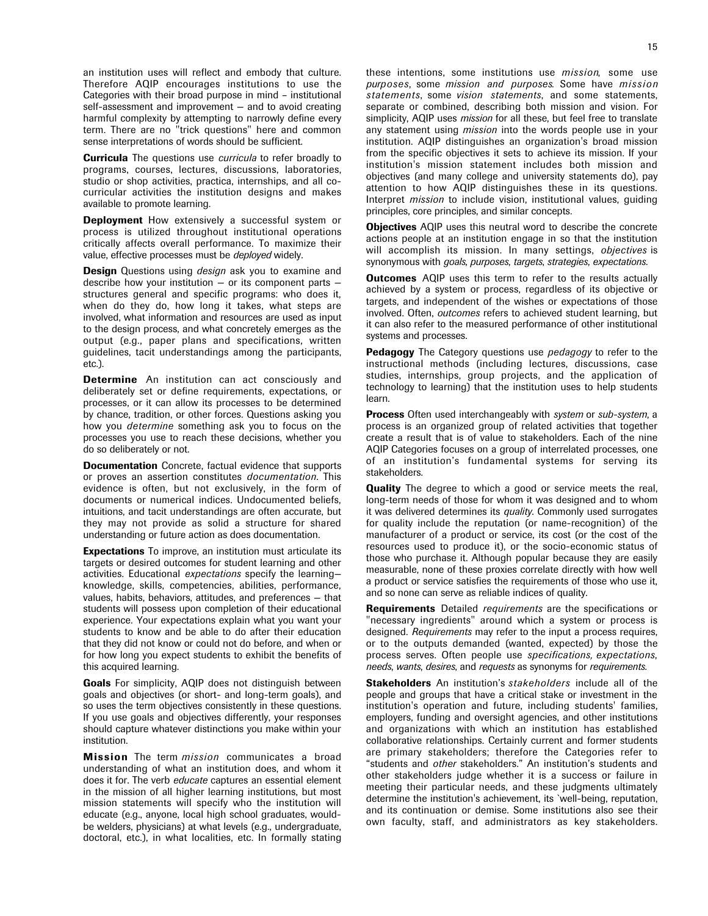an institution uses will reflect and embody that culture. Therefore AQIP encourages institutions to use the Categories with their broad purpose in mind – institutional self-assessment and improvement — and to avoid creating harmful complexity by attempting to narrowly define every term. There are no "trick questions" here and common sense interpretations of words should be sufficient.

Curricula The questions use *curricula* to refer broadly to programs, courses, lectures, discussions, laboratories, studio or shop activities, practica, internships, and all cocurricular activities the institution designs and makes available to promote learning.

**Deployment** How extensively a successful system or process is utilized throughout institutional operations critically affects overall performance. To maximize their value, effective processes must be *deployed* widely.

Design Questions using *design* ask you to examine and describe how your institution  $-$  or its component parts  $$ structures general and specific programs: who does it, when do they do, how long it takes, what steps are involved, what information and resources are used as input to the design process, and what concretely emerges as the output (e.g., paper plans and specifications, written guidelines, tacit understandings among the participants, etc.).

Determine An institution can act consciously and deliberately set or define requirements, expectations, or processes, or it can allow its processes to be determined by chance, tradition, or other forces. Questions asking you how you *determine* something ask you to focus on the processes you use to reach these decisions, whether you do so deliberately or not.

**Documentation** Concrete, factual evidence that supports or proves an assertion constitutes *documentation*. This evidence is often, but not exclusively, in the form of documents or numerical indices. Undocumented beliefs, intuitions, and tacit understandings are often accurate, but they may not provide as solid a structure for shared understanding or future action as does documentation.

**Expectations** To improve, an institution must articulate its targets or desired outcomes for student learning and other activities. Educational *expectations* specify the learning knowledge, skills, competencies, abilities, performance, values, habits, behaviors, attitudes, and preferences — that students will possess upon completion of their educational experience. Your expectations explain what you want your students to know and be able to do after their education that they did not know or could not do before, and when or for how long you expect students to exhibit the benefits of this acquired learning.

Goals For simplicity, AQIP does not distinguish between goals and objectives (or short- and long-term goals), and so uses the term objectives consistently in these questions. If you use goals and objectives differently, your responses should capture whatever distinctions you make within your institution.

Mission The term *mission* communicates a broad understanding of what an institution does, and whom it does it for. The verb *educate* captures an essential element in the mission of all higher learning institutions, but most mission statements will specify who the institution will educate (e.g., anyone, local high school graduates, wouldbe welders, physicians) at what levels (e.g., undergraduate, doctoral, etc.), in what localities, etc. In formally stating these intentions, some institutions use *mission*, some use *purposes*, some *mission and purposes*. Some have *mission statements*, some *vision statements*, and some statements, separate or combined, describing both mission and vision. For simplicity, AQIP uses *mission* for all these, but feel free to translate any statement using *mission* into the words people use in your institution. AQIP distinguishes an organization's broad mission from the specific objectives it sets to achieve its mission. If your institution's mission statement includes both mission and objectives (and many college and university statements do), pay attention to how AQIP distinguishes these in its questions. Interpret *mission* to include vision, institutional values, guiding principles, core principles, and similar concepts.

**Objectives** AQIP uses this neutral word to describe the concrete actions people at an institution engage in so that the institution will accomplish its mission. In many settings, *objectives* is synonymous with *goals*, *purposes*, *targets*, *strategies*, *expectations*.

**Outcomes** AQIP uses this term to refer to the results actually achieved by a system or process, regardless of its objective or targets, and independent of the wishes or expectations of those involved. Often, *outcomes* refers to achieved student learning, but it can also refer to the measured performance of other institutional systems and processes.

Pedagogy The Category questions use *pedagogy* to refer to the instructional methods (including lectures, discussions, case studies, internships, group projects, and the application of technology to learning) that the institution uses to help students learn.

Process Often used interchangeably with *system* or *sub-system*, a process is an organized group of related activities that together create a result that is of value to stakeholders. Each of the nine AQIP Categories focuses on a group of interrelated processes, one of an institution's fundamental systems for serving its stakeholders.

**Quality** The degree to which a good or service meets the real, long-term needs of those for whom it was designed and to whom it was delivered determines its *quality*. Commonly used surrogates for quality include the reputation (or name-recognition) of the manufacturer of a product or service, its cost (or the cost of the resources used to produce it), or the socio-economic status of those who purchase it. Although popular because they are easily measurable, none of these proxies correlate directly with how well a product or service satisfies the requirements of those who use it, and so none can serve as reliable indices of quality.

Requirements Detailed *requirements* are the specifications or "necessary ingredients" around which a system or process is designed. *Requirements* may refer to the input a process requires, or to the outputs demanded (wanted, expected) by those the process serves. Often people use *specifications, expectations*, *needs*, *wants*, *desires*, and *requests* as synonyms for *requirements*.

Stakeholders An institution's *stakeholders* include all of the people and groups that have a critical stake or investment in the institution's operation and future, including students' families, employers, funding and oversight agencies, and other institutions and organizations with which an institution has established collaborative relationships. Certainly current and former students are primary stakeholders; therefore the Categories refer to "students and *other* stakeholders." An institution's students and other stakeholders judge whether it is a success or failure in meeting their particular needs, and these judgments ultimately determine the institution's achievement, its `well-being, reputation, and its continuation or demise. Some institutions also see their own faculty, staff, and administrators as key stakeholders.